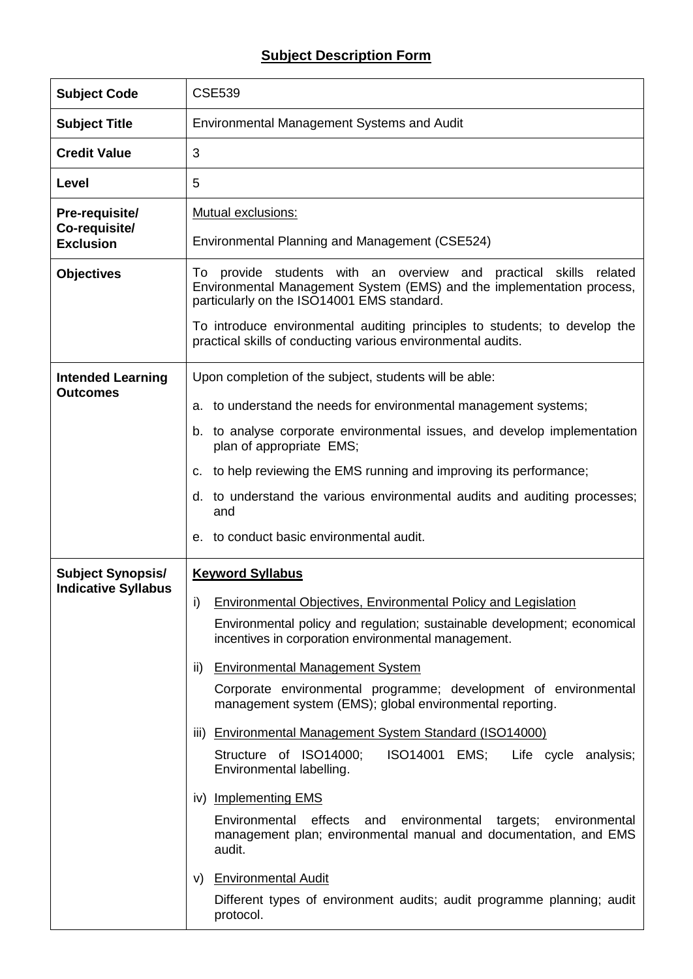## **Subject Description Form**

| <b>Subject Code</b>                                    | <b>CSE539</b>                                                                                                                                                                                                                                                                                                                                                                                                                                                                                                                                                                                                                                                                                                                                                                                                                                                                                       |  |  |  |  |  |
|--------------------------------------------------------|-----------------------------------------------------------------------------------------------------------------------------------------------------------------------------------------------------------------------------------------------------------------------------------------------------------------------------------------------------------------------------------------------------------------------------------------------------------------------------------------------------------------------------------------------------------------------------------------------------------------------------------------------------------------------------------------------------------------------------------------------------------------------------------------------------------------------------------------------------------------------------------------------------|--|--|--|--|--|
| <b>Subject Title</b>                                   | Environmental Management Systems and Audit                                                                                                                                                                                                                                                                                                                                                                                                                                                                                                                                                                                                                                                                                                                                                                                                                                                          |  |  |  |  |  |
| <b>Credit Value</b>                                    | 3                                                                                                                                                                                                                                                                                                                                                                                                                                                                                                                                                                                                                                                                                                                                                                                                                                                                                                   |  |  |  |  |  |
| Level                                                  | 5                                                                                                                                                                                                                                                                                                                                                                                                                                                                                                                                                                                                                                                                                                                                                                                                                                                                                                   |  |  |  |  |  |
| Pre-requisite/<br>Co-requisite/<br><b>Exclusion</b>    | Mutual exclusions:<br>Environmental Planning and Management (CSE524)                                                                                                                                                                                                                                                                                                                                                                                                                                                                                                                                                                                                                                                                                                                                                                                                                                |  |  |  |  |  |
| <b>Objectives</b>                                      | To provide students with an overview and<br>practical<br>skills<br>related<br>Environmental Management System (EMS) and the implementation process,<br>particularly on the ISO14001 EMS standard.<br>To introduce environmental auditing principles to students; to develop the<br>practical skills of conducting various environmental audits.                                                                                                                                                                                                                                                                                                                                                                                                                                                                                                                                                     |  |  |  |  |  |
| <b>Intended Learning</b><br><b>Outcomes</b>            | Upon completion of the subject, students will be able:<br>to understand the needs for environmental management systems;<br>a.<br>b. to analyse corporate environmental issues, and develop implementation<br>plan of appropriate EMS;                                                                                                                                                                                                                                                                                                                                                                                                                                                                                                                                                                                                                                                               |  |  |  |  |  |
|                                                        | to help reviewing the EMS running and improving its performance;<br>c.<br>to understand the various environmental audits and auditing processes;<br>d.<br>and<br>e. to conduct basic environmental audit.                                                                                                                                                                                                                                                                                                                                                                                                                                                                                                                                                                                                                                                                                           |  |  |  |  |  |
| <b>Subject Synopsis/</b><br><b>Indicative Syllabus</b> | <b>Keyword Syllabus</b><br>Environmental Objectives, Environmental Policy and Legislation<br>i)<br>Environmental policy and regulation; sustainable development; economical<br>incentives in corporation environmental management.<br><b>Environmental Management System</b><br>ii)<br>Corporate environmental programme; development of environmental<br>management system (EMS); global environmental reporting.<br>iii) Environmental Management System Standard (ISO14000)<br>Structure of ISO14000;<br><b>ISO14001 EMS;</b><br>Life cycle analysis;<br>Environmental labelling.<br>iv) Implementing EMS<br>Environmental effects<br>and<br>environmental<br>targets;<br>environmental<br>management plan; environmental manual and documentation, and EMS<br>audit.<br><b>Environmental Audit</b><br>V)<br>Different types of environment audits; audit programme planning; audit<br>protocol. |  |  |  |  |  |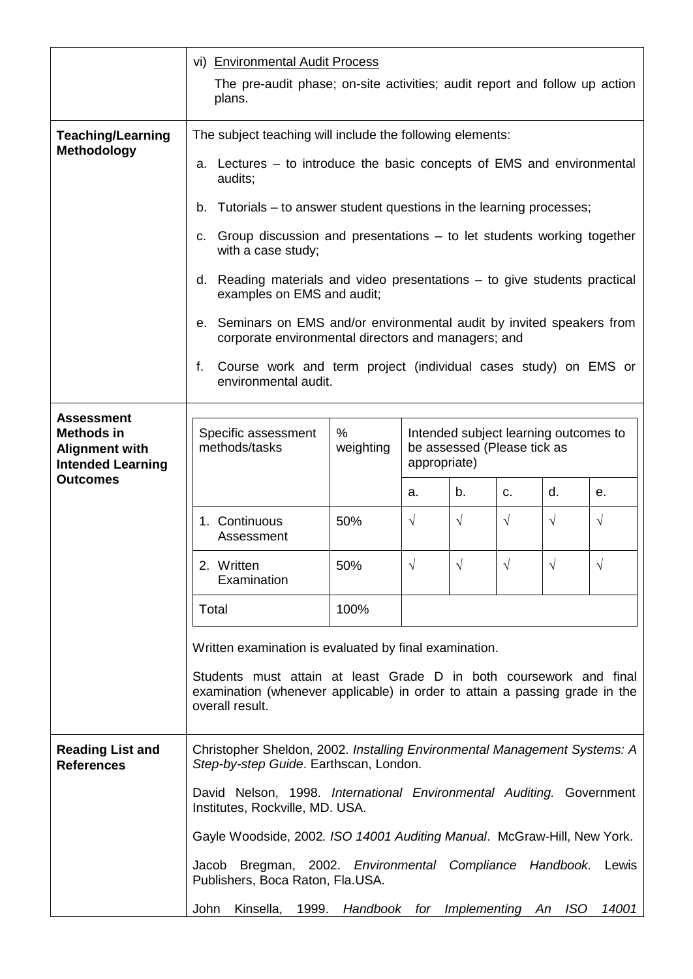|                                                                                             | vi) Environmental Audit Process                                                                                                                                                                                                |                                  |                                                                                      |            |                |            |            |  |
|---------------------------------------------------------------------------------------------|--------------------------------------------------------------------------------------------------------------------------------------------------------------------------------------------------------------------------------|----------------------------------|--------------------------------------------------------------------------------------|------------|----------------|------------|------------|--|
|                                                                                             | The pre-audit phase; on-site activities; audit report and follow up action<br>plans.                                                                                                                                           |                                  |                                                                                      |            |                |            |            |  |
| <b>Teaching/Learning</b>                                                                    | The subject teaching will include the following elements:                                                                                                                                                                      |                                  |                                                                                      |            |                |            |            |  |
| <b>Methodology</b>                                                                          | a. Lectures – to introduce the basic concepts of EMS and environmental<br>audits;                                                                                                                                              |                                  |                                                                                      |            |                |            |            |  |
|                                                                                             | b. Tutorials – to answer student questions in the learning processes;                                                                                                                                                          |                                  |                                                                                      |            |                |            |            |  |
|                                                                                             | c. Group discussion and presentations – to let students working together<br>with a case study;                                                                                                                                 |                                  |                                                                                      |            |                |            |            |  |
|                                                                                             | d. Reading materials and video presentations $-$ to give students practical<br>examples on EMS and audit;                                                                                                                      |                                  |                                                                                      |            |                |            |            |  |
|                                                                                             | e. Seminars on EMS and/or environmental audit by invited speakers from<br>corporate environmental directors and managers; and                                                                                                  |                                  |                                                                                      |            |                |            |            |  |
|                                                                                             | Course work and term project (individual cases study) on EMS or<br>f.<br>environmental audit.                                                                                                                                  |                                  |                                                                                      |            |                |            |            |  |
| <b>Assessment</b><br><b>Methods in</b><br><b>Alignment with</b><br><b>Intended Learning</b> | Specific assessment<br>methods/tasks                                                                                                                                                                                           | %<br>weighting                   | Intended subject learning outcomes to<br>be assessed (Please tick as<br>appropriate) |            |                |            |            |  |
| <b>Outcomes</b>                                                                             |                                                                                                                                                                                                                                |                                  | a.                                                                                   | b.         | C <sub>1</sub> | d.         | е.         |  |
|                                                                                             | 1. Continuous<br>Assessment                                                                                                                                                                                                    | 50%                              | $\sqrt{ }$                                                                           | $\sqrt{ }$ | $\sqrt{}$      | $\sqrt{ }$ | $\sqrt{ }$ |  |
|                                                                                             | 2. Written<br>Examination                                                                                                                                                                                                      | 50%                              | $\sqrt{}$                                                                            | $\sqrt{}$  | $\sqrt{ }$     | $\sqrt{ }$ | $\sqrt{ }$ |  |
|                                                                                             | Total                                                                                                                                                                                                                          | 100%                             |                                                                                      |            |                |            |            |  |
|                                                                                             | Written examination is evaluated by final examination.<br>Students must attain at least Grade D in both coursework and final<br>examination (whenever applicable) in order to attain a passing grade in the<br>overall result. |                                  |                                                                                      |            |                |            |            |  |
|                                                                                             |                                                                                                                                                                                                                                |                                  |                                                                                      |            |                |            |            |  |
| <b>Reading List and</b><br><b>References</b>                                                | Christopher Sheldon, 2002. Installing Environmental Management Systems: A<br>Step-by-step Guide. Earthscan, London.                                                                                                            |                                  |                                                                                      |            |                |            |            |  |
|                                                                                             | David Nelson, 1998. International Environmental Auditing. Government<br>Institutes, Rockville, MD. USA.                                                                                                                        |                                  |                                                                                      |            |                |            |            |  |
|                                                                                             | Gayle Woodside, 2002. ISO 14001 Auditing Manual. McGraw-Hill, New York.                                                                                                                                                        |                                  |                                                                                      |            |                |            |            |  |
|                                                                                             | Jacob Bregman, 2002. Environmental Compliance Handbook.<br>Lewis<br>Publishers, Boca Raton, Fla.USA.                                                                                                                           |                                  |                                                                                      |            |                |            |            |  |
|                                                                                             | Kinsella, 1999.<br>John                                                                                                                                                                                                        | Handbook for Implementing An ISO |                                                                                      |            |                |            | 14001      |  |